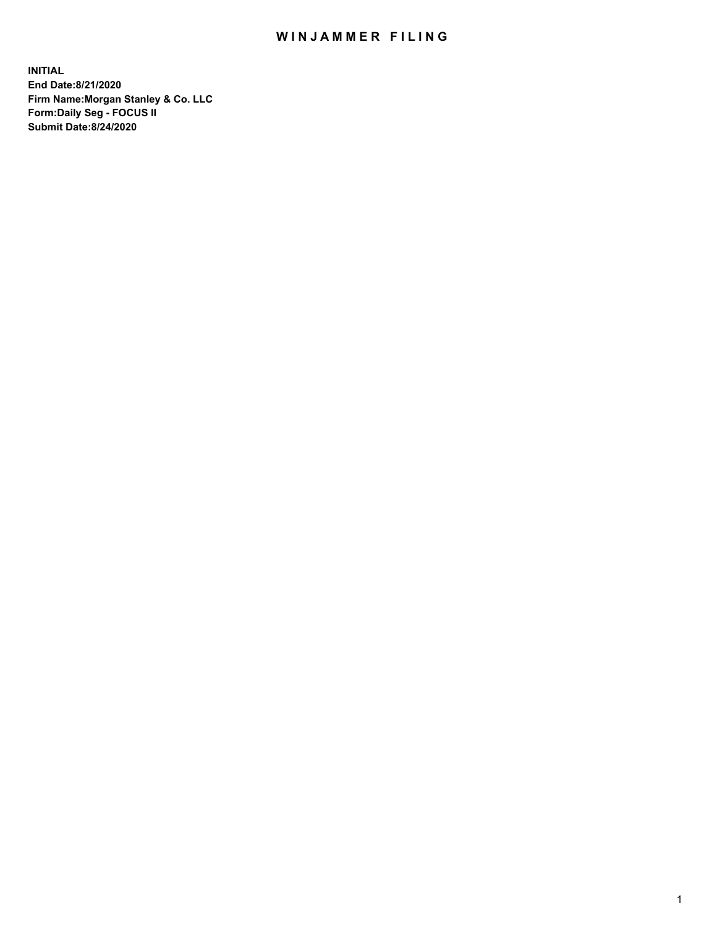## WIN JAMMER FILING

**INITIAL End Date:8/21/2020 Firm Name:Morgan Stanley & Co. LLC Form:Daily Seg - FOCUS II Submit Date:8/24/2020**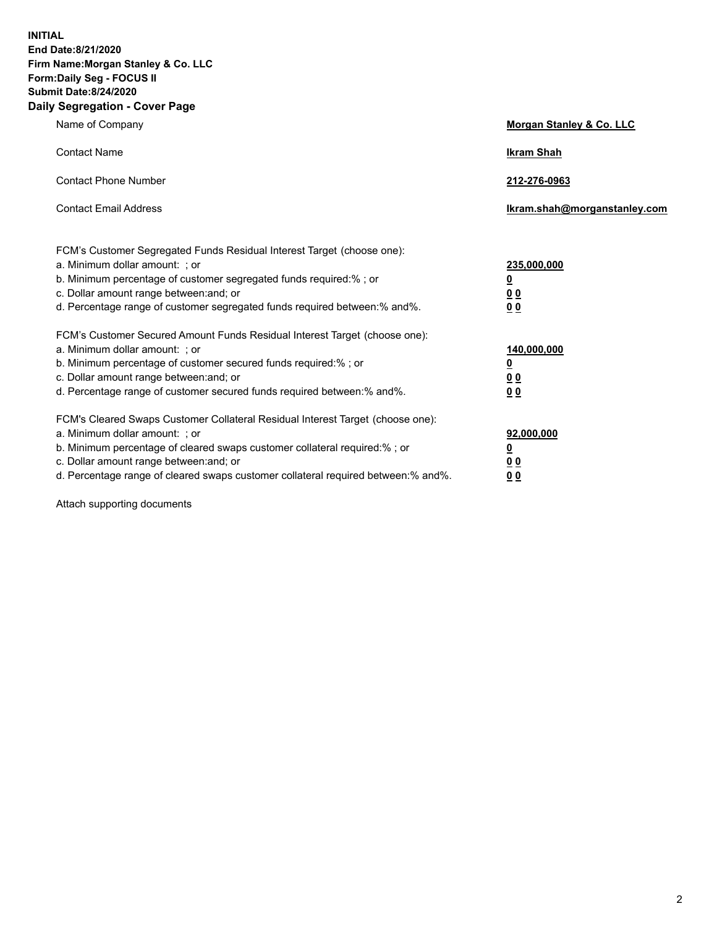**INITIAL End Date:8/21/2020 Firm Name:Morgan Stanley & Co. LLC Form:Daily Seg - FOCUS II Submit Date:8/24/2020 Daily Segregation - Cover Page**

| Name of Company                                                                                                                                                                                                                                                                                                                | Morgan Stanley & Co. LLC                        |
|--------------------------------------------------------------------------------------------------------------------------------------------------------------------------------------------------------------------------------------------------------------------------------------------------------------------------------|-------------------------------------------------|
| <b>Contact Name</b>                                                                                                                                                                                                                                                                                                            | <b>Ikram Shah</b>                               |
| <b>Contact Phone Number</b>                                                                                                                                                                                                                                                                                                    | 212-276-0963                                    |
| <b>Contact Email Address</b>                                                                                                                                                                                                                                                                                                   | Ikram.shah@morganstanley.com                    |
| FCM's Customer Segregated Funds Residual Interest Target (choose one):<br>a. Minimum dollar amount: ; or<br>b. Minimum percentage of customer segregated funds required:% ; or<br>c. Dollar amount range between: and; or<br>d. Percentage range of customer segregated funds required between:% and%.                         | 235,000,000<br><u>0</u><br><u>00</u><br>00      |
| FCM's Customer Secured Amount Funds Residual Interest Target (choose one):<br>a. Minimum dollar amount: ; or<br>b. Minimum percentage of customer secured funds required:% ; or<br>c. Dollar amount range between: and; or<br>d. Percentage range of customer secured funds required between:% and%.                           | 140,000,000<br><u>0</u><br>0 <sub>0</sub><br>00 |
| FCM's Cleared Swaps Customer Collateral Residual Interest Target (choose one):<br>a. Minimum dollar amount: ; or<br>b. Minimum percentage of cleared swaps customer collateral required:% ; or<br>c. Dollar amount range between: and; or<br>d. Percentage range of cleared swaps customer collateral required between:% and%. | 92,000,000<br><u>0</u><br>0 Q<br>0 <sub>0</sub> |

Attach supporting documents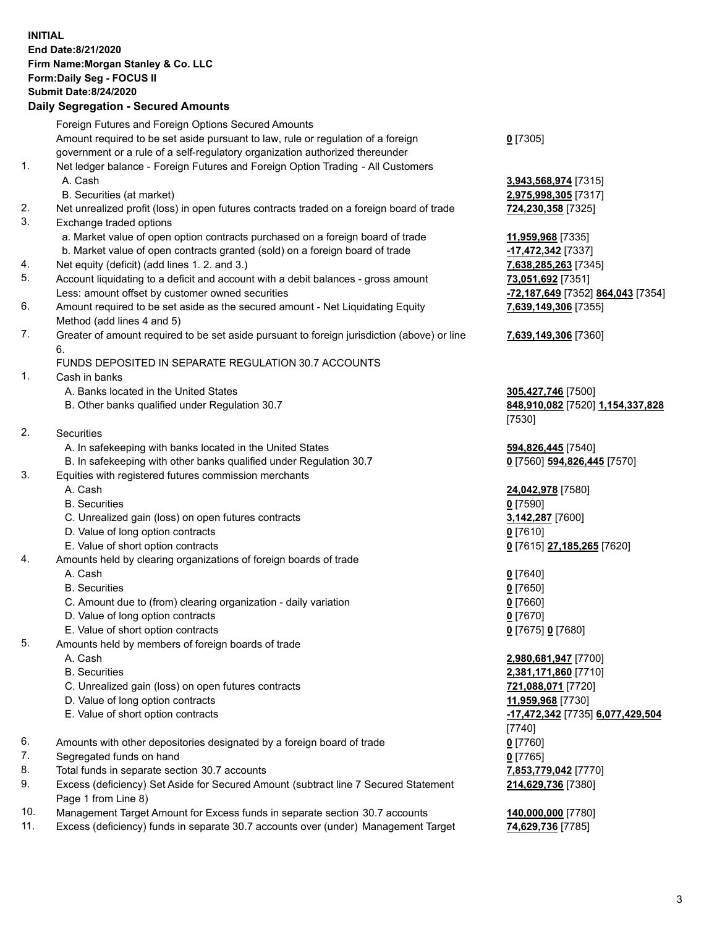## **INITIAL End Date:8/21/2020 Firm Name:Morgan Stanley & Co. LLC Form:Daily Seg - FOCUS II Submit Date:8/24/2020**

## **Daily Segregation - Secured Amounts**

|     | Foreign Futures and Foreign Options Secured Amounts                                         |                                   |
|-----|---------------------------------------------------------------------------------------------|-----------------------------------|
|     | Amount required to be set aside pursuant to law, rule or regulation of a foreign            | $0$ [7305]                        |
|     | government or a rule of a self-regulatory organization authorized thereunder                |                                   |
| 1.  | Net ledger balance - Foreign Futures and Foreign Option Trading - All Customers             |                                   |
|     | A. Cash                                                                                     | 3,943,568,974 [7315]              |
|     | B. Securities (at market)                                                                   | 2,975,998,305 [7317]              |
| 2.  | Net unrealized profit (loss) in open futures contracts traded on a foreign board of trade   | 724,230,358 [7325]                |
| 3.  | Exchange traded options                                                                     |                                   |
|     | a. Market value of open option contracts purchased on a foreign board of trade              | 11,959,968 [7335]                 |
|     | b. Market value of open contracts granted (sold) on a foreign board of trade                | -17,472,342 [7337]                |
| 4.  | Net equity (deficit) (add lines 1.2. and 3.)                                                | 7,638,285,263 [7345]              |
| 5.  | Account liquidating to a deficit and account with a debit balances - gross amount           | 73,051,692 [7351]                 |
|     | Less: amount offset by customer owned securities                                            | -72,187,649 [7352] 864,043 [7354] |
| 6.  | Amount required to be set aside as the secured amount - Net Liquidating Equity              | 7,639,149,306 [7355]              |
|     | Method (add lines 4 and 5)                                                                  |                                   |
| 7.  | Greater of amount required to be set aside pursuant to foreign jurisdiction (above) or line | 7,639,149,306 [7360]              |
|     | 6.                                                                                          |                                   |
|     | FUNDS DEPOSITED IN SEPARATE REGULATION 30.7 ACCOUNTS                                        |                                   |
| 1.  | Cash in banks                                                                               |                                   |
|     | A. Banks located in the United States                                                       | 305,427,746 [7500]                |
|     | B. Other banks qualified under Regulation 30.7                                              | 848,910,082 [7520] 1,154,337,828  |
|     |                                                                                             | [7530]                            |
| 2.  | <b>Securities</b>                                                                           |                                   |
|     | A. In safekeeping with banks located in the United States                                   | 594,826,445 [7540]                |
|     | B. In safekeeping with other banks qualified under Regulation 30.7                          | 0 [7560] 594,826,445 [7570]       |
| 3.  | Equities with registered futures commission merchants                                       |                                   |
|     | A. Cash                                                                                     | 24,042,978 [7580]                 |
|     | <b>B.</b> Securities                                                                        | $0$ [7590]                        |
|     | C. Unrealized gain (loss) on open futures contracts                                         | 3,142,287 [7600]                  |
|     | D. Value of long option contracts                                                           | $0$ [7610]                        |
|     | E. Value of short option contracts                                                          | 0 [7615] 27,185,265 [7620]        |
| 4.  | Amounts held by clearing organizations of foreign boards of trade                           |                                   |
|     | A. Cash                                                                                     | $0$ [7640]                        |
|     | <b>B.</b> Securities                                                                        | $0$ [7650]                        |
|     | C. Amount due to (from) clearing organization - daily variation                             | $0$ [7660]                        |
|     | D. Value of long option contracts                                                           | $0$ [7670]                        |
|     | E. Value of short option contracts                                                          | 0 [7675] 0 [7680]                 |
| 5.  | Amounts held by members of foreign boards of trade                                          |                                   |
|     | A. Cash                                                                                     | 2,980,681,947 [7700]              |
|     | <b>B.</b> Securities                                                                        | 2,381,171,860 [7710]              |
|     | C. Unrealized gain (loss) on open futures contracts                                         | 721,088,071 [7720]                |
|     | D. Value of long option contracts                                                           | 11,959,968 [7730]                 |
|     | E. Value of short option contracts                                                          | -17,472,342 [7735] 6,077,429,504  |
|     |                                                                                             | [7740]                            |
| 6.  | Amounts with other depositories designated by a foreign board of trade                      | $0$ [7760]                        |
| 7.  | Segregated funds on hand                                                                    | $0$ [7765]                        |
| 8.  | Total funds in separate section 30.7 accounts                                               | 7,853,779,042 [7770]              |
| 9.  | Excess (deficiency) Set Aside for Secured Amount (subtract line 7 Secured Statement         | 214,629,736 [7380]                |
|     | Page 1 from Line 8)                                                                         |                                   |
| 10. | Management Target Amount for Excess funds in separate section 30.7 accounts                 | 140,000,000 [7780]                |

11. Excess (deficiency) funds in separate 30.7 accounts over (under) Management Target **74,629,736** [7785]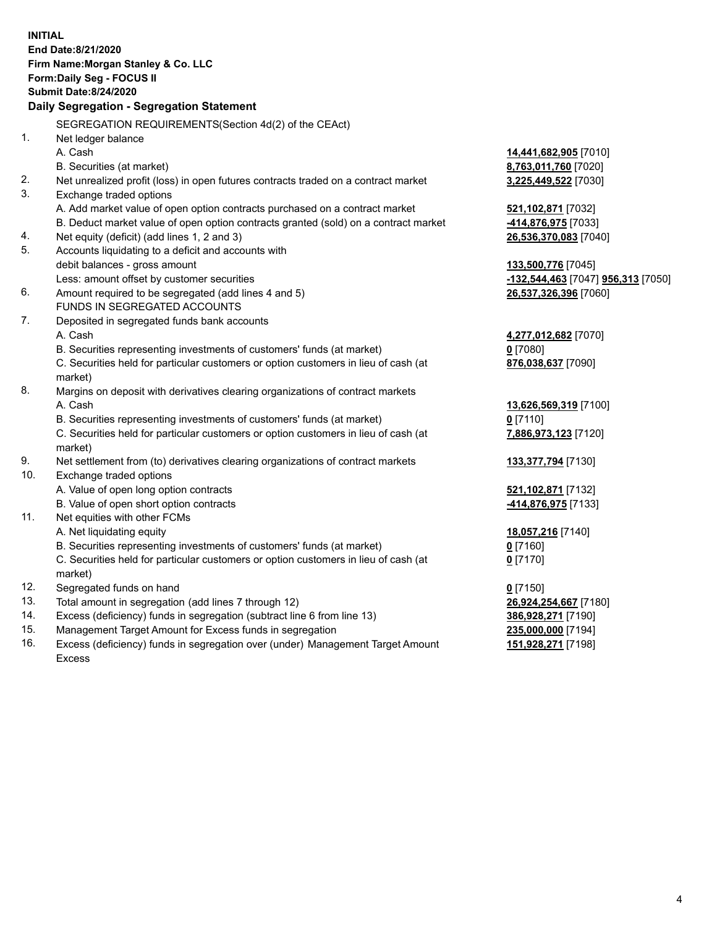**INITIAL End Date:8/21/2020 Firm Name:Morgan Stanley & Co. LLC Form:Daily Seg - FOCUS II Submit Date:8/24/2020 Daily Segregation - Segregation Statement** SEGREGATION REQUIREMENTS(Section 4d(2) of the CEAct) 1. Net ledger balance A. Cash **14,441,682,905** [7010] B. Securities (at market) **8,763,011,760** [7020] 2. Net unrealized profit (loss) in open futures contracts traded on a contract market **3,225,449,522** [7030] 3. Exchange traded options A. Add market value of open option contracts purchased on a contract market **521,102,871** [7032] B. Deduct market value of open option contracts granted (sold) on a contract market **-414,876,975** [7033] 4. Net equity (deficit) (add lines 1, 2 and 3) **26,536,370,083** [7040] 5. Accounts liquidating to a deficit and accounts with debit balances - gross amount **133,500,776** [7045] Less: amount offset by customer securities **-132,544,463** [7047] **956,313** [7050] 6. Amount required to be segregated (add lines 4 and 5) **26,537,326,396** [7060] FUNDS IN SEGREGATED ACCOUNTS 7. Deposited in segregated funds bank accounts A. Cash **4,277,012,682** [7070] B. Securities representing investments of customers' funds (at market) **0** [7080] C. Securities held for particular customers or option customers in lieu of cash (at market) **876,038,637** [7090] 8. Margins on deposit with derivatives clearing organizations of contract markets A. Cash **13,626,569,319** [7100] B. Securities representing investments of customers' funds (at market) **0** [7110] C. Securities held for particular customers or option customers in lieu of cash (at market) **7,886,973,123** [7120] 9. Net settlement from (to) derivatives clearing organizations of contract markets **133,377,794** [7130] 10. Exchange traded options A. Value of open long option contracts **521,102,871** [7132] B. Value of open short option contracts **-414,876,975** [7133] 11. Net equities with other FCMs A. Net liquidating equity **18,057,216** [7140] B. Securities representing investments of customers' funds (at market) **0** [7160] C. Securities held for particular customers or option customers in lieu of cash (at market) **0** [7170] 12. Segregated funds on hand **0** [7150] 13. Total amount in segregation (add lines 7 through 12) **26,924,254,667** [7180] 14. Excess (deficiency) funds in segregation (subtract line 6 from line 13) **386,928,271** [7190] 15. Management Target Amount for Excess funds in segregation **235,000,000** [7194]

16. Excess (deficiency) funds in segregation over (under) Management Target Amount Excess

**151,928,271** [7198]